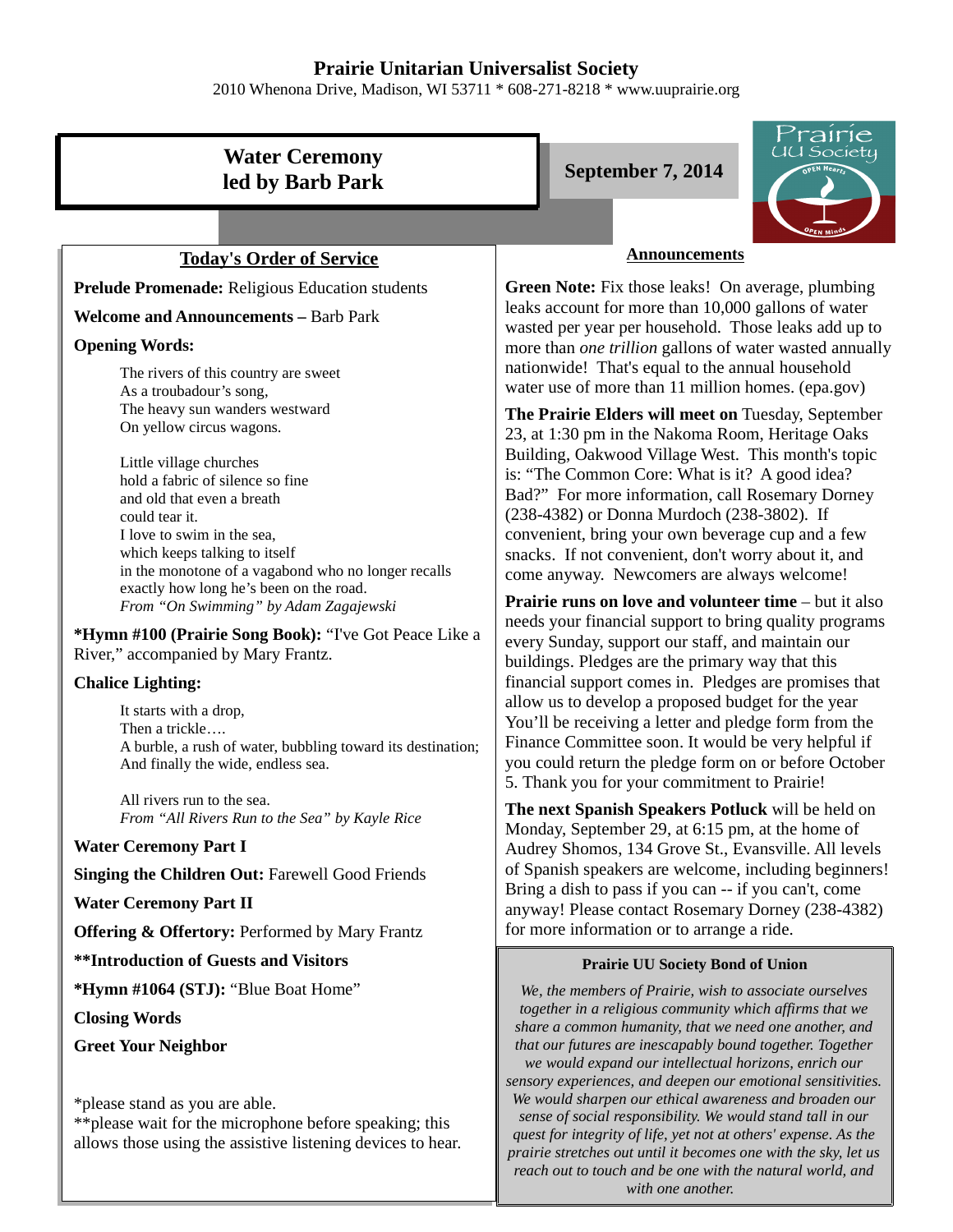# **Prairie Unitarian Universalist Society**

2010 Whenona Drive, Madison, WI 53711 \* 608-271-8218 \* www.uuprairie.org

# **Water Ceremony led by Barb Park** September 7, 2014

### **Today's Order of Service**

**Prelude Promenade:** Religious Education students

**Welcome and Announcements –** Barb Park

### **Opening Words:**

The rivers of this country are sweet As a troubadour's song, The heavy sun wanders westward On yellow circus wagons.

Little village churches hold a fabric of silence so fine and old that even a breath could tear it. I love to swim in the sea, which keeps talking to itself in the monotone of a vagabond who no longer recalls exactly how long he's been on the road. *From "On Swimming" by Adam Zagajewski*

**\*Hymn #100 (Prairie Song Book):** "I've Got Peace Like a River," accompanied by Mary Frantz.

### **Chalice Lighting:**

It starts with a drop, Then a trickle…. A burble, a rush of water, bubbling toward its destination; And finally the wide, endless sea.

All rivers run to the sea. *From "All Rivers Run to the Sea" by Kayle Rice*

### **Water Ceremony Part I**

### **Singing the Children Out:** Farewell Good Friends

### **Water Ceremony Part II**

**Offering & Offertory:** Performed by Mary Frantz

**\*\*Introduction of Guests and Visitors**

**\*Hymn #1064 (STJ):** "Blue Boat Home"

**Closing Words**

**Greet Your Neighbor**

\*please stand as you are able.

\*\*please wait for the microphone before speaking; this allows those using the assistive listening devices to hear.



### **Announcements**

**Green Note:** Fix those leaks! On average, plumbing leaks account for more than 10,000 gallons of water wasted per year per household. Those leaks add up to more than *one trillion* gallons of water wasted annually nationwide! That's equal to the annual household water use of more than 11 million homes. (epa.gov)

**The Prairie Elders will meet on** Tuesday, September 23, at 1:30 pm in the Nakoma Room, Heritage Oaks Building, Oakwood Village West. This month's topic is: "The Common Core: What is it? A good idea? Bad?" For more information, call Rosemary Dorney (238-4382) or Donna Murdoch (238-3802). If convenient, bring your own beverage cup and a few snacks. If not convenient, don't worry about it, and come anyway. Newcomers are always welcome!

**Prairie runs on love and volunteer time** – but it also needs your financial support to bring quality programs every Sunday, support our staff, and maintain our buildings. Pledges are the primary way that this financial support comes in. Pledges are promises that allow us to develop a proposed budget for the year You'll be receiving a letter and pledge form from the Finance Committee soon. It would be very helpful if you could return the pledge form on or before October 5. Thank you for your commitment to Prairie!

**The next Spanish Speakers Potluck** will be held on Monday, September 29, at 6:15 pm, at the home of Audrey Shomos, 134 Grove St., Evansville. All levels of Spanish speakers are welcome, including beginners! Bring a dish to pass if you can -- if you can't, come anyway! Please contact Rosemary Dorney (238-4382) for more information or to arrange a ride.

### **Prairie UU Society Bond of Union**

*We, the members of Prairie, wish to associate ourselves together in a religious community which affirms that we share a common humanity, that we need one another, and that our futures are inescapably bound together. Together we would expand our intellectual horizons, enrich our sensory experiences, and deepen our emotional sensitivities. We would sharpen our ethical awareness and broaden our sense of social responsibility. We would stand tall in our quest for integrity of life, yet not at others' expense. As the prairie stretches out until it becomes one with the sky, let us reach out to touch and be one with the natural world, and with one another.*